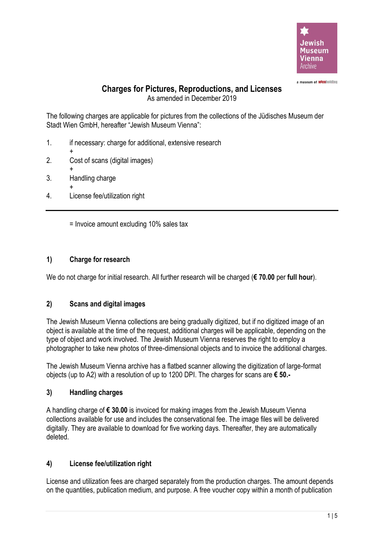

a museum of **wlen**holding

# **Charges for Pictures, Reproductions, and Licenses**

As amended in December 2019

The following charges are applicable for pictures from the collections of the Jüdisches Museum der Stadt Wien GmbH, hereafter "Jewish Museum Vienna":

- 1. if necessary: charge for additional, extensive research
- + 2. Cost of scans (digital images)
- + 3. Handling charge
- + 4. License fee/utilization right

= Invoice amount excluding 10% sales tax

# **1) Charge for research**

We do not charge for initial research. All further research will be charged (**€ 70.00** per **full hour**).

# **2) Scans and digital images**

The Jewish Museum Vienna collections are being gradually digitized, but if no digitized image of an object is available at the time of the request, additional charges will be applicable, depending on the type of object and work involved. The Jewish Museum Vienna reserves the right to employ a photographer to take new photos of three-dimensional objects and to invoice the additional charges.

The Jewish Museum Vienna archive has a flatbed scanner allowing the digitization of large-format objects (up to A2) with a resolution of up to 1200 DPI. The charges for scans are **€ 50.-**

# **3) Handling charges**

A handling charge of **€ 30.00** is invoiced for making images from the Jewish Museum Vienna collections available for use and includes the conservational fee. The image files will be delivered digitally. They are available to download for five working days. Thereafter, they are automatically deleted.

# **4) License fee/utilization right**

License and utilization fees are charged separately from the production charges. The amount depends on the quantities, publication medium, and purpose. A free voucher copy within a month of publication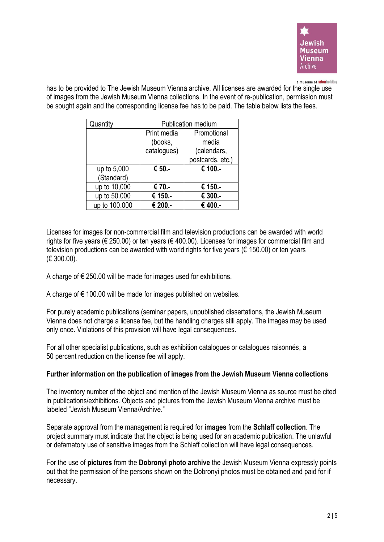

#### a museum of **wienholding**

has to be provided to The Jewish Museum Vienna archive. All licenses are awarded for the single use of images from the Jewish Museum Vienna collections. In the event of re-publication, permission must be sought again and the corresponding license fee has to be paid. The table below lists the fees.

| Quantity      | <b>Publication medium</b> |                  |  |  |
|---------------|---------------------------|------------------|--|--|
|               | Print media               | Promotional      |  |  |
|               | (books,                   | media            |  |  |
|               | catalogues)               | (calendars,      |  |  |
|               |                           | postcards, etc.) |  |  |
| up to 5,000   | € 50.-                    | € 100.-          |  |  |
| (Standard)    |                           |                  |  |  |
| up to 10,000  | € 70.-                    | € 150.-          |  |  |
| up to 50.000  | € 150.-                   | € 300.           |  |  |
| up to 100.000 | € 200.-                   | € 400.-          |  |  |

Licenses for images for non-commercial film and television productions can be awarded with world rights for five years (€ 250.00) or ten years (€ 400.00). Licenses for images for commercial film and television productions can be awarded with world rights for five years ( $\epsilon$  150.00) or ten years (€ 300.00).

A charge of  $\epsilon$  250.00 will be made for images used for exhibitions.

A charge of  $€$  100.00 will be made for images published on websites.

For purely academic publications (seminar papers, unpublished dissertations, the Jewish Museum Vienna does not charge a license fee, but the handling charges still apply. The images may be used only once. Violations of this provision will have legal consequences.

For all other specialist publications, such as exhibition catalogues or catalogues raisonnés, a 50 percent reduction on the license fee will apply.

#### **Further information on the publication of images from the Jewish Museum Vienna collections**

The inventory number of the object and mention of the Jewish Museum Vienna as source must be cited in publications/exhibitions. Objects and pictures from the Jewish Museum Vienna archive must be labeled "Jewish Museum Vienna/Archive."

Separate approval from the management is required for **images** from the **Schlaff collection**. The project summary must indicate that the object is being used for an academic publication. The unlawful or defamatory use of sensitive images from the Schlaff collection will have legal consequences.

For the use of **pictures** from the **Dobronyi photo archive** the Jewish Museum Vienna expressly points out that the permission of the persons shown on the Dobronyi photos must be obtained and paid for if necessary.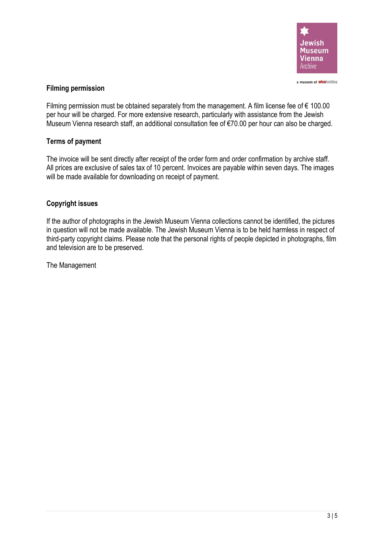

# **Filming permission**

Filming permission must be obtained separately from the management. A film license fee of  $\epsilon$  100.00 per hour will be charged. For more extensive research, particularly with assistance from the Jewish Museum Vienna research staff, an additional consultation fee of €70.00 per hour can also be charged.

# **Terms of payment**

The invoice will be sent directly after receipt of the order form and order confirmation by archive staff. All prices are exclusive of sales tax of 10 percent. Invoices are payable within seven days. The images will be made available for downloading on receipt of payment.

# **Copyright issues**

If the author of photographs in the Jewish Museum Vienna collections cannot be identified, the pictures in question will not be made available. The Jewish Museum Vienna is to be held harmless in respect of third-party copyright claims. Please note that the personal rights of people depicted in photographs, film and television are to be preserved.

The Management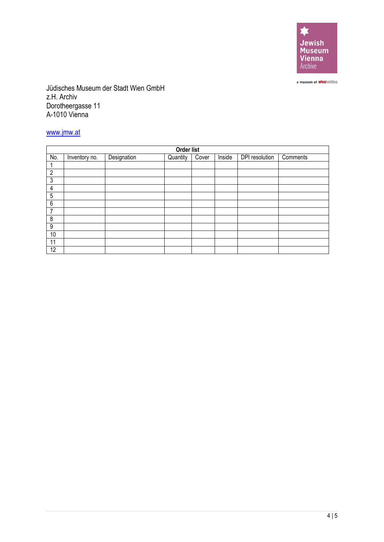

a museum of **wienholding** 

Jüdisches Museum der Stadt Wien GmbH z.H. Archiv Dorotheergasse 11 A-1010 Vienna

# [www.jmw.at](http://www.jmw.at/)

| Order list     |               |             |          |       |        |                |          |
|----------------|---------------|-------------|----------|-------|--------|----------------|----------|
| No.            | Inventory no. | Designation | Quantity | Cover | Inside | DPI resolution | Comments |
|                |               |             |          |       |        |                |          |
| $\overline{2}$ |               |             |          |       |        |                |          |
| 3              |               |             |          |       |        |                |          |
| 4              |               |             |          |       |        |                |          |
| 5              |               |             |          |       |        |                |          |
| 6              |               |             |          |       |        |                |          |
| 7              |               |             |          |       |        |                |          |
| 8              |               |             |          |       |        |                |          |
| 9              |               |             |          |       |        |                |          |
| 10             |               |             |          |       |        |                |          |
| 11             |               |             |          |       |        |                |          |
| 12             |               |             |          |       |        |                |          |